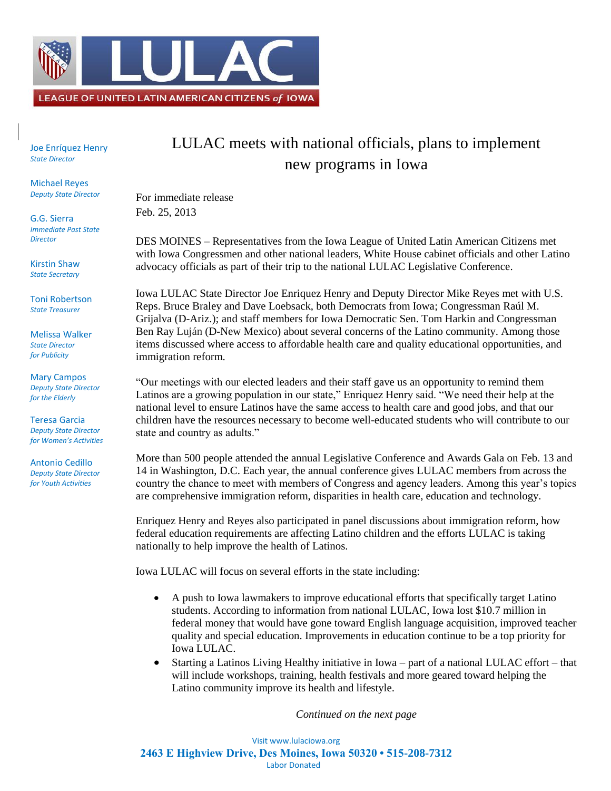

Joe Enríquez Henry *State Director*

Michael Reyes *Deputy State Director*

G.G. Sierra *Immediate Past State Director*

Kirstin Shaw *State Secretary*

Toni Robertson *State Treasurer*

Melissa Walker *State Director for Publicity*

Mary Campos *Deputy State Director for the Elderly*

Teresa Garcia *Deputy State Director for Women's Activities*

Antonio Cedillo *Deputy State Director for Youth Activities*

## LULAC meets with national officials, plans to implement new programs in Iowa

For immediate release Feb. 25, 2013

DES MOINES – Representatives from the Iowa League of United Latin American Citizens met with Iowa Congressmen and other national leaders, White House cabinet officials and other Latino advocacy officials as part of their trip to the national LULAC Legislative Conference.

Iowa LULAC State Director Joe Enriquez Henry and Deputy Director Mike Reyes met with U.S. Reps. Bruce Braley and Dave Loebsack, both Democrats from Iowa; Congressman Raúl M. Grijalva (D-Ariz.); and staff members for Iowa Democratic Sen. Tom Harkin and Congressman Ben Ray Luján (D-New Mexico) about several concerns of the Latino community. Among those items discussed where access to affordable health care and quality educational opportunities, and immigration reform.

"Our meetings with our elected leaders and their staff gave us an opportunity to remind them Latinos are a growing population in our state," Enriquez Henry said. "We need their help at the national level to ensure Latinos have the same access to health care and good jobs, and that our children have the resources necessary to become well-educated students who will contribute to our state and country as adults."

More than 500 people attended the annual Legislative Conference and Awards Gala on Feb. 13 and 14 in Washington, D.C. Each year, the annual conference gives LULAC members from across the country the chance to meet with members of Congress and agency leaders. Among this year's topics are comprehensive immigration reform, disparities in health care, education and technology.

Enriquez Henry and Reyes also participated in panel discussions about immigration reform, how federal education requirements are affecting Latino children and the efforts LULAC is taking nationally to help improve the health of Latinos.

Iowa LULAC will focus on several efforts in the state including:

- A push to Iowa lawmakers to improve educational efforts that specifically target Latino students. According to information from national LULAC, Iowa lost \$10.7 million in federal money that would have gone toward English language acquisition, improved teacher quality and special education. Improvements in education continue to be a top priority for Iowa LULAC.
- Starting a Latinos Living Healthy initiative in Iowa part of a national LULAC effort that will include workshops, training, health festivals and more geared toward helping the Latino community improve its health and lifestyle.

*Continued on the next page*

Visit www.lulaciowa.org **2463 E Highview Drive, Des Moines, Iowa 50320 • 515-208-7312** Labor Donated